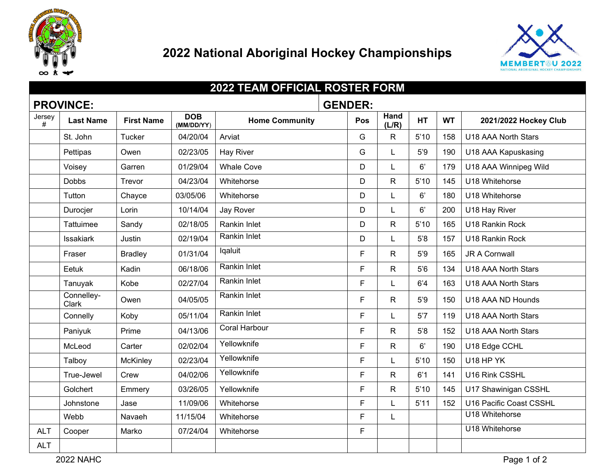

## **2022 National Aboriginal Hockey Championships**



| <b>2022 TEAM OFFICIAL ROSTER FORM</b> |                     |                   |                          |                       |     |               |           |           |                         |
|---------------------------------------|---------------------|-------------------|--------------------------|-----------------------|-----|---------------|-----------|-----------|-------------------------|
| <b>PROVINCE:</b><br><b>GENDER:</b>    |                     |                   |                          |                       |     |               |           |           |                         |
| Jersey<br>#                           | <b>Last Name</b>    | <b>First Name</b> | <b>DOB</b><br>(MM/DD/YY) | <b>Home Community</b> | Pos | Hand<br>(L/R) | <b>HT</b> | <b>WT</b> | 2021/2022 Hockey Club   |
|                                       | St. John            | Tucker            | 04/20/04                 | Arviat                | G   | R.            | 5'10      | 158       | U18 AAA North Stars     |
|                                       | Pettipas            | Owen              | 02/23/05                 | Hay River             | G   |               | 5'9       | 190       | U18 AAA Kapuskasing     |
|                                       | Voisey              | Garren            | 01/29/04                 | <b>Whale Cove</b>     | D   |               | 6'        | 179       | U18 AAA Winnipeg Wild   |
|                                       | <b>Dobbs</b>        | Trevor            | 04/23/04                 | Whitehorse            | D   | R             | 5'10      | 145       | U18 Whitehorse          |
|                                       | Tutton              | Chayce            | 03/05/06                 | Whitehorse            | D   | L             | 6'        | 180       | U18 Whitehorse          |
|                                       | Durocjer            | Lorin             | 10/14/04                 | Jay Rover             | D   | L             | 6'        | 200       | U18 Hay River           |
|                                       | Tattuimee           | Sandy             | 02/18/05                 | Rankin Inlet          | D   | $\mathsf{R}$  | 5'10      | 165       | U18 Rankin Rock         |
|                                       | <b>Issakiark</b>    | Justin            | 02/19/04                 | Rankin Inlet          | D   | L             | 5'8       | 157       | U18 Rankin Rock         |
|                                       | Fraser              | <b>Bradley</b>    | 01/31/04                 | Iqaluit               | F   | $\mathsf{R}$  | 5'9       | 165       | <b>JR A Cornwall</b>    |
|                                       | Eetuk               | Kadin             | 06/18/06                 | Rankin Inlet          | F   | $\mathsf{R}$  | 5'6       | 134       | U18 AAA North Stars     |
|                                       | Tanuyak             | Kobe              | 02/27/04                 | Rankin Inlet          | F   | L             | 6'4       | 163       | U18 AAA North Stars     |
|                                       | Connelley-<br>Clark | Owen              | 04/05/05                 | Rankin Inlet          | F   | R.            | 5'9       | 150       | U18 AAA ND Hounds       |
|                                       | Connelly            | Koby              | 05/11/04                 | Rankin Inlet          | F.  | L             | 5'7       | 119       | U18 AAA North Stars     |
|                                       | Paniyuk             | Prime             | 04/13/06                 | <b>Coral Harbour</b>  | F   | R.            | 5'8       | 152       | U18 AAA North Stars     |
|                                       | McLeod              | Carter            | 02/02/04                 | Yellowknife           | F   | $\mathsf{R}$  | 6'        | 190       | U18 Edge CCHL           |
|                                       | Talboy              | <b>McKinley</b>   | 02/23/04                 | Yellowknife           | F   |               | 5'10      | 150       | U18 HP YK               |
|                                       | True-Jewel          | Crew              | 04/02/06                 | Yellowknife           | F   | R.            | 6'1       | 141       | U16 Rink CSSHL          |
|                                       | Golchert            | Emmery            | 03/26/05                 | Yellowknife           | F   | R.            | 5'10      | 145       | U17 Shawinigan CSSHL    |
|                                       | Johnstone           | Jase              | 11/09/06                 | Whitehorse            | F   | L             | 5'11      | 152       | U16 Pacific Coast CSSHL |
|                                       | Webb                | Navaeh            | 11/15/04                 | Whitehorse            | F.  | L             |           |           | U18 Whitehorse          |
| <b>ALT</b>                            | Cooper              | Marko             | 07/24/04                 | Whitehorse            | F.  |               |           |           | U18 Whitehorse          |
| <b>ALT</b>                            |                     |                   |                          |                       |     |               |           |           |                         |